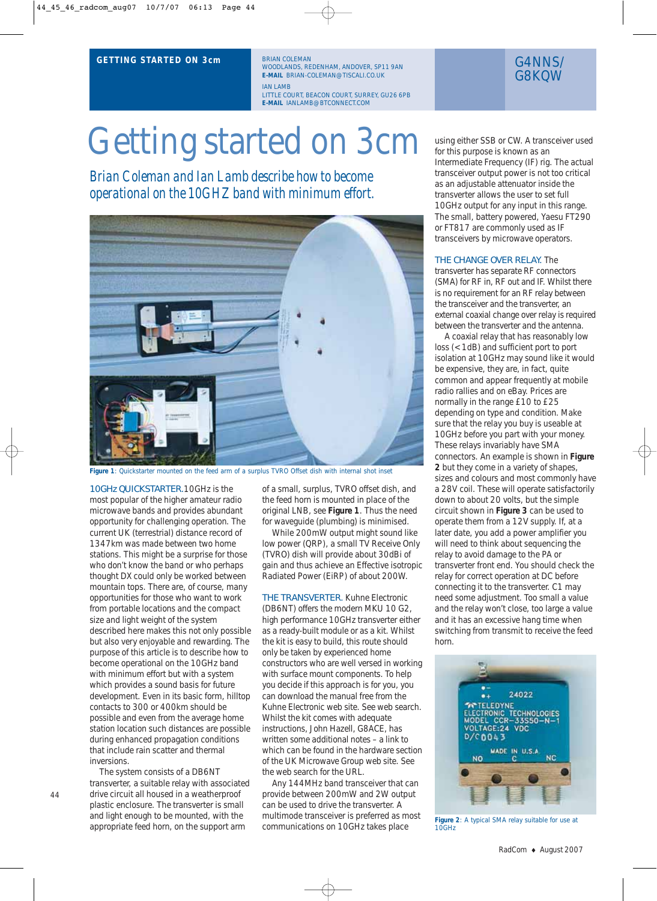### **GETTING STARTED ON 3cm**

BRIAN COLEMAN WOODLANDS, REDENHAM, ANDOVER, SP11 9AN **E-MAIL** BRIAN-COLEMAN@TISCALI.CO.UK IAN LAMB LITTLE COURT, BEACON COURT, SURREY, GU26 6PB **E-MAIL** IANLAMB@BTCONNECT.COM

# Getting started on 3cm

*Brian Coleman and Ian Lamb describe how to become operational on the 10GHZ band with minimum effort.*



**Figure 1**: Quickstarter mounted on the feed arm of a surplus TVRO Offset dish with internal shot inset

10GHz QUICKSTARTER.10GHz is the most popular of the higher amateur radio microwave bands and provides abundant opportunity for challenging operation. The current UK (terrestrial) distance record of 1347km was made between two home stations. This might be a surprise for those who don't know the band or who perhaps thought DX could only be worked between mountain tops. There are, of course, many opportunities for those who want to work from portable locations and the compact size and light weight of the system described here makes this not only possible but also very enjoyable and rewarding. The purpose of this article is to describe how to become operational on the 10GHz band with minimum effort but with a system which provides a sound basis for future development. Even in its basic form, hilltop contacts to 300 or 400km should be possible and even from the average home station location such distances are possible during enhanced propagation conditions that include rain scatter and thermal inversions.

The system consists of a DB6NT transverter, a suitable relay with associated drive circuit all housed in a weatherproof plastic enclosure. The transverter is small and light enough to be mounted, with the appropriate feed horn, on the support arm

of a small, surplus, TVRO offset dish, and the feed horn is mounted in place of the original LNB, see **Figure 1**. Thus the need for waveguide (plumbing) is minimised.

While 200mW output might sound like low power (QRP), a small TV Receive Only (TVRO) dish will provide about 30dBi of gain and thus achieve an Effective isotropic Radiated Power (EiRP) of about 200W.

THE TRANSVERTER. Kuhne Electronic (DB6NT) offers the modern MKU 10 G2, high performance 10GHz transverter either as a ready-built module or as a kit. Whilst the kit is easy to build, this route should only be taken by experienced home constructors who are well versed in working with surface mount components. To help you decide if this approach is for you, you can download the manual free from the Kuhne Electronic web site. See web search. Whilst the kit comes with adequate instructions, John Hazell, G8ACE, has written some additional notes – a link to which can be found in the hardware section of the UK Microwave Group web site. See the web search for the URL.

Any 144MHz band transceiver that can provide between 200mW and 2W output can be used to drive the transverter. A multimode transceiver is preferred as most communications on 10GHz takes place

## G4NNS/ G8KQW

using either SSB or CW. A transceiver used for this purpose is known as an Intermediate Frequency (IF) rig. The actual transceiver output power is not too critical as an adjustable attenuator inside the transverter allows the user to set full 10GHz output for any input in this range. The small, battery powered, Yaesu FT290 or FT817 are commonly used as IF transceivers by microwave operators.

#### THE CHANGE OVER RELAY. The

transverter has separate RF connectors (SMA) for RF in, RF out and IF. Whilst there is no requirement for an RF relay between the transceiver and the transverter, an external coaxial change over relay is required between the transverter and the antenna.

A coaxial relay that has reasonably low loss (<1dB) and sufficient port to port isolation at 10GHz may sound like it would be expensive, they are, in fact, quite common and appear frequently at mobile radio rallies and on eBay. Prices are normally in the range £10 to £25 depending on type and condition. Make sure that the relay you buy is useable at 10GHz before you part with your money. These relays invariably have SMA connectors. An example is shown in **Figure 2** but they come in a variety of shapes, sizes and colours and most commonly have a 28V coil. These will operate satisfactorily down to about 20 volts, but the simple circuit shown in **Figure 3** can be used to operate them from a 12V supply. If, at a later date, you add a power amplifier you will need to think about sequencing the relay to avoid damage to the PA or transverter front end. You should check the relay for correct operation at DC before connecting it to the transverter. C1 may need some adjustment. Too small a value and the relay won't close, too large a value and it has an excessive hang time when switching from transmit to receive the feed horn.



**Figure 2**: A typical SMA relay suitable for use at 10GHz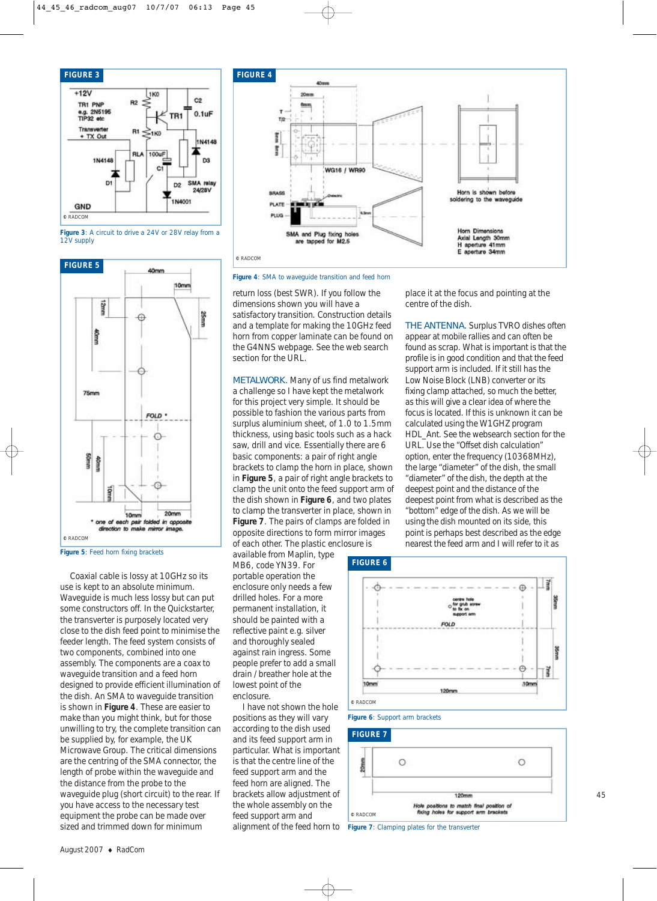

**Figure 3**: A circuit to drive a 24V or 28V relay from a 12V supply



**Figure 5**: Feed horn fixing brackets

Coaxial cable is lossy at 10GHz so its use is kept to an absolute minimum. Waveguide is much less lossy but can put some constructors off. In the Quickstarter, the transverter is purposely located very close to the dish feed point to minimise the feeder length. The feed system consists of two components, combined into one assembly. The components are a coax to waveguide transition and a feed horn designed to provide efficient illumination of the dish. An SMA to waveguide transition is shown in **Figure 4**. These are easier to make than you might think, but for those unwilling to try, the complete transition can be supplied by, for example, the UK Microwave Group. The critical dimensions are the centring of the SMA connector, the length of probe within the waveguide and the distance from the probe to the waveguide plug (short circuit) to the rear. If you have access to the necessary test equipment the probe can be made over sized and trimmed down for minimum



**©** RADCOM

**Figure 4**: SMA to waveguide transition and feed horn

return loss (best SWR). If you follow the dimensions shown you will have a satisfactory transition. Construction details and a template for making the 10GHz feed horn from copper laminate can be found on the G4NNS webpage. See the web search section for the URL.

METALWORK. Many of us find metalwork a challenge so I have kept the metalwork for this project very simple. It should be possible to fashion the various parts from surplus aluminium sheet, of 1.0 to 1.5mm thickness, using basic tools such as a hack saw, drill and vice. Essentially there are 6 basic components: a pair of right angle brackets to clamp the horn in place, shown in **Figure 5**, a pair of right angle brackets to clamp the unit onto the feed support arm of the dish shown in **Figure 6**, and two plates to clamp the transverter in place, shown in **Figure 7**. The pairs of clamps are folded in opposite directions to form mirror images of each other. The plastic enclosure is

available from Maplin, type MB6, code YN39. For portable operation the enclosure only needs a few drilled holes. For a more permanent installation, it should be painted with a reflective paint e.g. silver and thoroughly sealed against rain ingress. Some people prefer to add a small drain / breather hole at the lowest point of the enclosure.

I have not shown the hole positions as they will vary according to the dish used and its feed support arm in particular. What is important is that the centre line of the feed support arm and the feed horn are aligned. The brackets allow adjustment of the whole assembly on the feed support arm and

place it at the focus and pointing at the centre of the dish.

THE ANTENNA. Surplus TVRO dishes often appear at mobile rallies and can often be found as scrap. What is important is that the profile is in good condition and that the feed support arm is included. If it still has the Low Noise Block (LNB) converter or its fixing clamp attached, so much the better, as this will give a clear idea of where the focus is located. If this is unknown it can be calculated using the W1GHZ program HDL\_Ant. See the websearch section for the URL. Use the "Offset dish calculation" option, enter the frequency (10368MHz), the large "diameter" of the dish, the small "diameter" of the dish, the depth at the deepest point and the distance of the deepest point from what is described as the "bottom" edge of the dish. As we will be using the dish mounted on its side, this point is perhaps best described as the edge nearest the feed arm and I will refer to it as







alignment of the feed horn to **Figure 7**: Clamping plates for the transverter

45